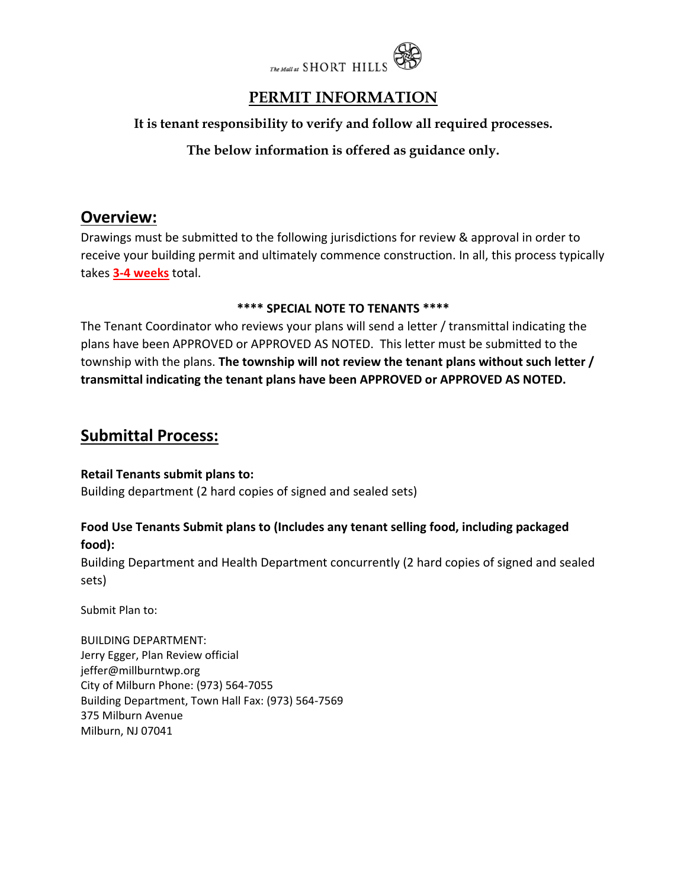

# **PERMIT INFORMATION**

### **It is tenant responsibility to verify and follow all required processes.**

### **The below information is offered as guidance only.**

### **Overview:**

Drawings must be submitted to the following jurisdictions for review & approval in order to receive your building permit and ultimately commence construction. In all, this process typically takes **3‐4 weeks** total.

#### **\*\*\*\* SPECIAL NOTE TO TENANTS \*\*\*\***

The Tenant Coordinator who reviews your plans will send a letter / transmittal indicating the plans have been APPROVED or APPROVED AS NOTED. This letter must be submitted to the township with the plans. **The township will not review the tenant plans without such letter / transmittal indicating the tenant plans have been APPROVED or APPROVED AS NOTED.**

## **Submittal Process:**

#### **Retail Tenants submit plans to:**

Building department (2 hard copies of signed and sealed sets)

### **Food Use Tenants Submit plans to (Includes any tenant selling food, including packaged food):**

Building Department and Health Department concurrently (2 hard copies of signed and sealed sets)

Submit Plan to:

BUILDING DEPARTMENT: Jerry Egger, Plan Review official jeffer@millburntwp.org City of Milburn Phone: (973) 564‐7055 Building Department, Town Hall Fax: (973) 564‐7569 375 Milburn Avenue Milburn, NJ 07041